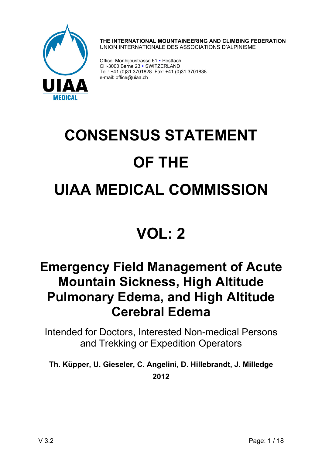

**THE INTERNATIONAL MOUNTAINEERING AND CLIMBING FEDERATION**  UNION INTERNATIONALE DES ASSOCIATIONS D'ALPINISME

Office: Monbijoustrasse 61 • Postfach CH-3000 Berne 23 · SWITZERLAND Tel.: +41 (0)31 3701828 Fax: +41 (0)31 3701838 e-mail: office@uiaa.ch

# **CONSENSUS STATEMENT OF THE UIAA MEDICAL COMMISSION**

# **VOL: 2**

# **Emergency Field Management of Acute Mountain Sickness, High Altitude Pulmonary Edema, and High Altitude Cerebral Edema**

Intended for Doctors, Interested Non-medical Persons and Trekking or Expedition Operators

**Th. Küpper, U. Gieseler, C. Angelini, D. Hillebrandt, J. Milledge 2012**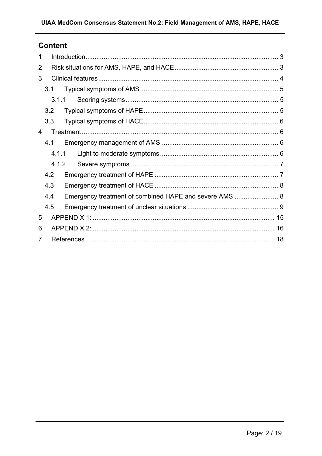### **Content**

| 1 |     |                                                        |  |
|---|-----|--------------------------------------------------------|--|
| 2 |     |                                                        |  |
| 3 |     |                                                        |  |
|   | 3.1 |                                                        |  |
|   |     | 3.1.1                                                  |  |
|   | 3.2 |                                                        |  |
|   | 3.3 |                                                        |  |
| 4 |     |                                                        |  |
|   | 4.1 |                                                        |  |
|   |     | 4.1.1                                                  |  |
|   |     | 4.1.2                                                  |  |
|   | 4.2 |                                                        |  |
|   | 4.3 |                                                        |  |
|   | 4.4 | Emergency treatment of combined HAPE and severe AMS  8 |  |
|   | 4.5 |                                                        |  |
| 5 |     |                                                        |  |
| 6 |     |                                                        |  |
| 7 |     |                                                        |  |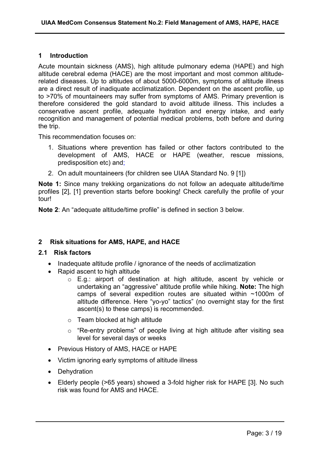#### **1 Introduction**

Acute mountain sickness (AMS), high altitude pulmonary edema (HAPE) and high altitude cerebral edema (HACE) are the most important and most common altituderelated diseases. Up to altitudes of about 5000-6000m, symptoms of altitude illness are a direct result of inadiquate acclimatization. Dependent on the ascent profile, up to >70% of mountaineers may suffer from symptoms of AMS. Primary prevention is therefore considered the gold standard to avoid altitude illness. This includes a conservative ascent profile, adequate hydration and energy intake, and early recognition and management of potential medical problems, both before and during the trip.

This recommendation focuses on:

- 1. Situations where prevention has failed or other factors contributed to the development of AMS, HACE or HAPE (weather, rescue missions, predisposition etc) and;
- 2. On adult mountaineers (for children see UIAA Standard No. 9 [1])

**Note 1:** Since many trekking organizations do not follow an adequate altitude/time profiles [2], [1] prevention starts before booking! Check carefully the profile of your tour!

**Note 2**: An "adequate altitude/time profile" is defined in section 3 below.

#### **2 Risk situations for AMS, HAPE, and HACE**

#### **2.1 Risk factors**

- Inadequate altitude profile / ignorance of the needs of acclimatization
- Rapid ascent to high altitude
	- o E.g.: airport of destination at high altitude, ascent by vehicle or undertaking an "aggressive" altitude profile while hiking. **Note:** The high camps of several expedition routes are situated within ~1000m of altitude difference. Here "yo-yo" tactics" (no overnight stay for the first ascent(s) to these camps) is recommended.
	- o Team blocked at high altitude
	- o "Re-entry problems" of people living at high altitude after visiting sea level for several days or weeks
- Previous History of AMS, HACE or HAPE
- Victim ignoring early symptoms of altitude illness
- Dehydration
- Elderly people (>65 years) showed a 3-fold higher risk for HAPE [3]. No such risk was found for AMS and HACE.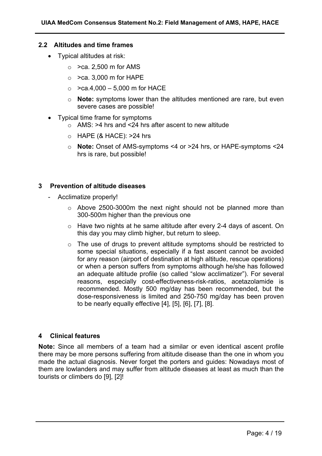#### **2.2 Altitudes and time frames**

- Typical altitudes at risk:
	- $\circ$  >ca. 2,500 m for AMS
	- $\circ$  >ca. 3,000 m for HAPE
	- $\circ$  >ca.4,000 5,000 m for HACE
	- o **Note:** symptoms lower than the altitudes mentioned are rare, but even severe cases are possible!
- Typical time frame for symptoms
	- $\circ$  AMS: >4 hrs and <24 hrs after ascent to new altitude
	- $\circ$  HAPE (& HACE): >24 hrs
	- o **Note:** Onset of AMS-symptoms <4 or >24 hrs, or HAPE-symptoms <24 hrs is rare, but possible!

#### **3 Prevention of altitude diseases**

- Acclimatize properly!
	- o Above 2500-3000m the next night should not be planned more than 300-500m higher than the previous one
	- o Have two nights at he same altitude after every 2-4 days of ascent. On this day you may climb higher, but return to sleep.
	- o The use of drugs to prevent altitude symptoms should be restricted to some special situations, especially if a fast ascent cannot be avoided for any reason (airport of destination at high altitude, rescue operations) or when a person suffers from symptoms although he/she has followed an adequate altitude profile (so called "slow acclimatizer"). For several reasons, especially cost-effectiveness-risk-ratios, acetazolamide is recommended. Mostly 500 mg/day has been recommended, but the dose-responsiveness is limited and 250-750 mg/day has been proven to be nearly equally effective [4], [5], [6], [7], [8].

#### **4 Clinical features**

**Note:** Since all members of a team had a similar or even identical ascent profile there may be more persons suffering from altitude disease than the one in whom you made the actual diagnosis. Never forget the porters and guides: Nowadays most of them are lowlanders and may suffer from altitude diseases at least as much than the tourists or climbers do [9], [2]!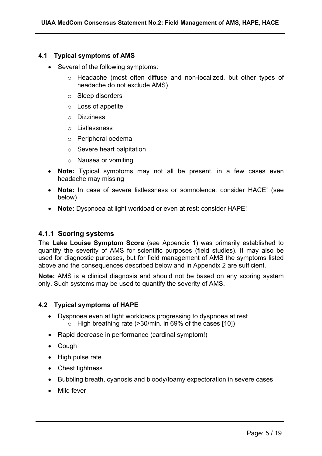#### **4.1 Typical symptoms of AMS**

- Several of the following symptoms:
	- o Headache (most often diffuse and non-localized, but other types of headache do not exclude AMS)
	- o Sleep disorders
	- o Loss of appetite
	- o Dizziness
	- o Listlessness
	- o Peripheral oedema
	- o Severe heart palpitation
	- o Nausea or vomiting
- **Note:** Typical symptoms may not all be present, in a few cases even headache may missing
- **Note:** In case of severe listlessness or somnolence: consider HACE! (see below)
- **Note:** Dyspnoea at light workload or even at rest: consider HAPE!

#### **4.1.1 Scoring systems**

The **Lake Louise Symptom Score** (see Appendix 1) was primarily established to quantify the severity of AMS for scientific purposes (field studies). It may also be used for diagnostic purposes, but for field management of AMS the symptoms listed above and the consequences described below and in Appendix 2 are sufficient.

**Note:** AMS is a clinical diagnosis and should not be based on any scoring system only. Such systems may be used to quantify the severity of AMS.

#### **4.2 Typical symptoms of HAPE**

- Dyspnoea even at light workloads progressing to dyspnoea at rest  $\circ$  High breathing rate (>30/min. in 69% of the cases [10])
- Rapid decrease in performance (cardinal symptom!)
- Cough
- High pulse rate
- Chest tightness
- Bubbling breath, cyanosis and bloody/foamy expectoration in severe cases
- Mild fever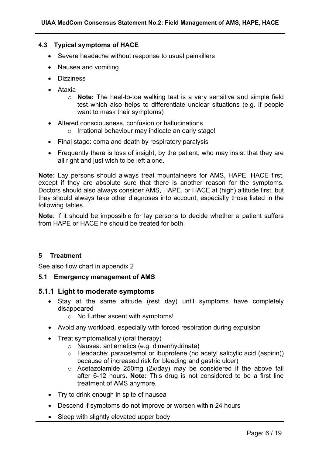#### **4.3 Typical symptoms of HACE**

- Severe headache without response to usual painkillers
- Nausea and vomiting
- Dizziness
- Ataxia
	- o **Note:** The heel-to-toe walking test is a very sensitive and simple field test which also helps to differentiate unclear situations (e.g. if people want to mask their symptoms)
- Altered consciousness, confusion or hallucinations o Irrational behaviour may indicate an early stage!
- Final stage: coma and death by respiratory paralysis
- Frequently there is loss of insight, by the patient, who may insist that they are all right and just wish to be left alone.

**Note:** Lay persons should always treat mountaineers for AMS, HAPE, HACE first, except if they are absolute sure that there is another reason for the symptoms. Doctors should also always consider AMS, HAPE, or HACE at (high) altitude first, but they should always take other diagnoses into account, especially those listed in the following tables.

**Note**: If it should be impossible for lay persons to decide whether a patient suffers from HAPE or HACE he should be treated for both.

#### **5 Treatment**

See also flow chart in appendix 2

#### **5.1 Emergency management of AMS**

#### **5.1.1 Light to moderate symptoms**

- Stay at the same altitude (rest day) until symptoms have completely disappeared
	- o No further ascent with symptoms!
- Avoid any workload, especially with forced respiration during expulsion
- Treat symptomatically (oral therapy)
	- o Nausea: antiemetics (e.g. dimenhydrinate)
	- o Headache: paracetamol or ibuprofene (no acetyl salicylic acid (aspirin)) because of increased risk for bleeding and gastric ulcer)
	- o Acetazolamide 250mg (2x/day) may be considered if the above fail after 6-12 hours. **Note:** This drug is not considered to be a first line treatment of AMS anymore.
- Try to drink enough in spite of nausea
- Descend if symptoms do not improve or worsen within 24 hours
- Sleep with slightly elevated upper body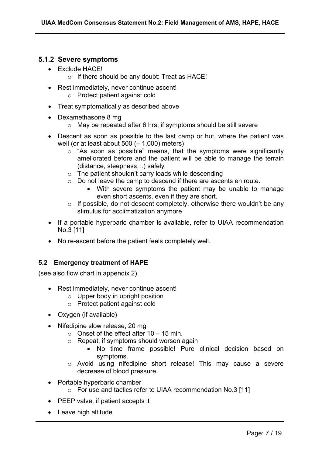#### **5.1.2 Severe symptoms**

- Exclude HACE!
	- o If there should be any doubt: Treat as HACE!
- Rest immediately, never continue ascent! o Protect patient against cold
- Treat symptomatically as described above
- Dexamethasone 8 mg
	- o May be repeated after 6 hrs, if symptoms should be still severe
- Descent as soon as possible to the last camp or hut, where the patient was well (or at least about  $500$  ( $-$  1,000) meters)
	- o "As soon as possible" means, that the symptoms were significantly ameliorated before and the patient will be able to manage the terrain (distance, steepness…) safely
	- $\circ$  The patient shouldn't carry loads while descending
	- o Do not leave the camp to descend if there are ascents en route.
		- With severe symptoms the patient may be unable to manage even short ascents, even if they are short.
	- $\circ$  If possible, do not descent completely, otherwise there wouldn't be any stimulus for acclimatization anymore
- If a portable hyperbaric chamber is available, refer to UIAA recommendation No.3 [11]
- No re-ascent before the patient feels completely well.

#### **5.2 Emergency treatment of HAPE**

(see also flow chart in appendix 2)

- Rest immediately, never continue ascent!
	- o Upper body in upright position
	- o Protect patient against cold
- Oxygen (if available)
- Nifedipine slow release, 20 mg
	- $\circ$  Onset of the effect after 10 15 min.
	- o Repeat, if symptoms should worsen again
		- No time frame possible! Pure clinical decision based on symptoms.
	- o Avoid using nifedipine short release! This may cause a severe decrease of blood pressure.
- Portable hyperbaric chamber
	- o For use and tactics refer to UIAA recommendation No.3 [11]
- PEEP valve, if patient accepts it
- Leave high altitude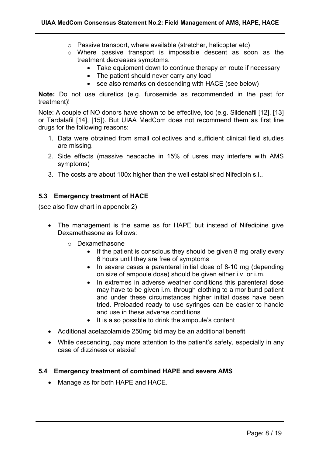- o Passive transport, where available (stretcher, helicopter etc)
- o Where passive transport is impossible descent as soon as the treatment decreases symptoms.
	- Take equipment down to continue therapy en route if necessary
	- The patient should never carry any load
	- see also remarks on descending with HACE (see below)

**Note:** Do not use diuretics (e.g. furosemide as recommended in the past for treatment)!

Note: A couple of NO donors have shown to be effective, too (e.g. Sildenafil [12], [13] or Tardalafil [14], [15]). But UIAA MedCom does not recommend them as first line drugs for the following reasons:

- 1. Data were obtained from small collectives and sufficient clinical field studies are missing.
- 2. Side effects (massive headache in 15% of usres may interfere with AMS symptoms)
- 3. The costs are about 100x higher than the well established Nifedipin s.l..

#### **5.3 Emergency treatment of HACE**

(see also flow chart in appendix 2)

- The management is the same as for HAPE but instead of Nifedipine give Dexamethasone as follows:
	- o Dexamethasone
		- If the patient is conscious they should be given 8 mg orally every 6 hours until they are free of symptoms
		- In severe cases a parenteral initial dose of 8-10 mg (depending on size of ampoule dose) should be given either i.v. or i.m.
		- In extremes in adverse weather conditions this parenteral dose may have to be given i.m. through clothing to a moribund patient and under these circumstances higher initial doses have been tried. Preloaded ready to use syringes can be easier to handle and use in these adverse conditions
		- It is also possible to drink the ampoule's content
- Additional acetazolamide 250mg bid may be an additional benefit
- While descending, pay more attention to the patient's safety, especially in any case of dizziness or ataxia!

#### **5.4 Emergency treatment of combined HAPE and severe AMS**

• Manage as for both HAPE and HACE.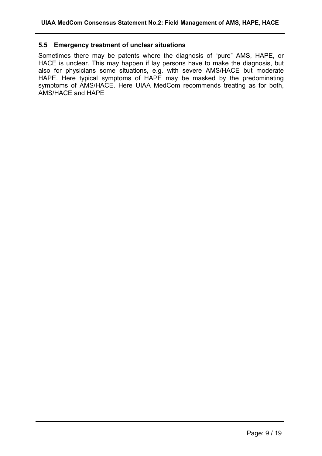#### **5.5 Emergency treatment of unclear situations**

Sometimes there may be patents where the diagnosis of "pure" AMS, HAPE, or HACE is unclear. This may happen if lay persons have to make the diagnosis, but also for physicians some situations, e.g. with severe AMS/HACE but moderate HAPE. Here typical symptoms of HAPE may be masked by the predominating symptoms of AMS/HACE. Here UIAA MedCom recommends treating as for both, AMS/HACE and HAPE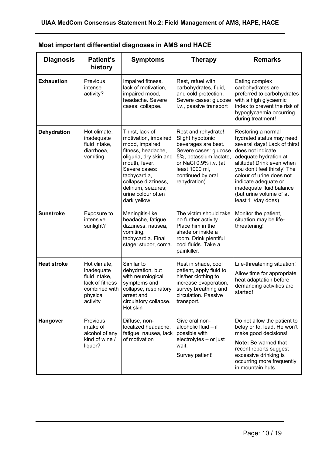| <b>Diagnosis</b>   | <b>Patient's</b><br>history                                                                             | <b>Symptoms</b>                                                                                                                                                                                                                                | <b>Therapy</b>                                                                                                                                                                                    | <b>Remarks</b>                                                                                                                                                                                                                                                                                                             |
|--------------------|---------------------------------------------------------------------------------------------------------|------------------------------------------------------------------------------------------------------------------------------------------------------------------------------------------------------------------------------------------------|---------------------------------------------------------------------------------------------------------------------------------------------------------------------------------------------------|----------------------------------------------------------------------------------------------------------------------------------------------------------------------------------------------------------------------------------------------------------------------------------------------------------------------------|
| <b>Exhaustion</b>  | Previous<br>intense<br>activity?                                                                        | Impaired fitness,<br>lack of motivation,<br>impaired mood,<br>headache. Severe<br>cases: collapse.                                                                                                                                             | Rest, refuel with<br>carbohydrates, fluid,<br>and cold protection.<br>Severe cases: glucose<br>i.v., passive transport                                                                            | Eating complex<br>carbohydrates are<br>preferred to carbohydrates<br>with a high glycaemic<br>index to prevent the risk of<br>hypoglycaemia occurring<br>during treatment!                                                                                                                                                 |
| <b>Dehydration</b> | Hot climate,<br>inadequate<br>fluid intake,<br>diarrhoea,<br>vomiting                                   | Thirst, lack of<br>motivation, impaired<br>mood, impaired<br>fitness, headache,<br>oliguria, dry skin and<br>mouth, fever.<br>Severe cases:<br>tachycardia,<br>collapse dizziness,<br>delirium, seizures;<br>urine colour often<br>dark yellow | Rest and rehydrate!<br>Slight hypotonic<br>beverages are best.<br>Severe cases: glucose<br>5%, potassium lactate,<br>or NaCl 0.9% i.v. (at<br>least 1000 ml,<br>continued by oral<br>rehydration) | Restoring a normal<br>hydrated status may need<br>several days! Lack of thirst<br>does not indicate<br>adequate hydration at<br>altitude! Drink even when<br>you don't feel thirsty! The<br>colour of urine does not<br>indicate adequate or<br>inadequate fluid balance<br>(but urine volume of at<br>least 1 I/day does) |
| <b>Sunstroke</b>   | Exposure to<br>intensive<br>sunlight?                                                                   | Meningitis-like<br>headache, fatigue,<br>dizziness, nausea,<br>vomiting,<br>tachycardia. Final<br>stage: stupor, coma.                                                                                                                         | The victim should take<br>no further activity.<br>Place him in the<br>shade or inside a<br>room. Drink plentiful<br>cool fluids. Take a<br>painkiller.                                            | Monitor the patient,<br>situation may be life-<br>threatening!                                                                                                                                                                                                                                                             |
| <b>Heat stroke</b> | Hot climate,<br>inadequate<br>fluid intake,<br>lack of fitness<br>combined with<br>physical<br>activity | Similar to<br>dehydration, but<br>with neurological<br>symptoms and<br>collapse, respiratory<br>arrest and<br>circulatory collapse.<br>Hot skin                                                                                                | Rest in shade, cool<br>patient, apply fluid to<br>his/her clothing to<br>increase evaporation,<br>survey breathing and<br>circulation. Passive<br>transport.                                      | Life-threatening situation!<br>Allow time for appropriate<br>heat adaptation before<br>demanding activities are<br>started!                                                                                                                                                                                                |
| Hangover           | Previous<br>intake of<br>alcohol of any<br>kind of wine /<br>liquor?                                    | Diffuse, non-<br>localized headache,<br>fatigue, nausea, lack<br>of motivation                                                                                                                                                                 | Give oral non-<br>alcoholic fluid - if<br>possible with<br>electrolytes - or just<br>wait.<br>Survey patient!                                                                                     | Do not allow the patient to<br>belay or to, lead. He won't<br>make good decisions!<br>Note: Be warned that<br>recent reports suggest<br>excessive drinking is<br>occurring more frequently<br>in mountain huts.                                                                                                            |

**Most important differential diagnoses in AMS and HACE**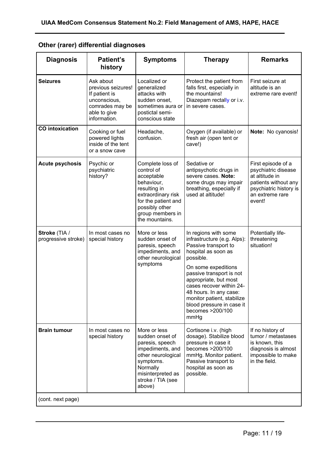|  |  | Other (rarer) differential diagnoses |  |
|--|--|--------------------------------------|--|
|--|--|--------------------------------------|--|

| <b>Diagnosis</b>                     | <b>Patient's</b><br>history                                                                                         | <b>Symptoms</b>                                                                                                                                                                 | <b>Therapy</b>                                                                                                                                                                                                                                                                                                                           | <b>Remarks</b>                                                                                                                             |
|--------------------------------------|---------------------------------------------------------------------------------------------------------------------|---------------------------------------------------------------------------------------------------------------------------------------------------------------------------------|------------------------------------------------------------------------------------------------------------------------------------------------------------------------------------------------------------------------------------------------------------------------------------------------------------------------------------------|--------------------------------------------------------------------------------------------------------------------------------------------|
| <b>Seizures</b>                      | Ask about<br>previous seizures!<br>If patient is<br>unconscious,<br>comrades may be<br>able to give<br>information. | Localized or<br>generalized<br>attacks with<br>sudden onset,<br>sometimes aura or<br>postictal semi-<br>conscious state                                                         | Protect the patient from<br>falls first, especially in<br>the mountains!<br>Diazepam rectally or i.v.<br>in severe cases.                                                                                                                                                                                                                | First seizure at<br>altitude is an<br>extreme rare event!                                                                                  |
| <b>CO</b> intoxication               | Cooking or fuel<br>powered lights<br>inside of the tent<br>or a snow cave                                           | Headache,<br>confusion.                                                                                                                                                         | Oxygen (if available) or<br>fresh air (open tent or<br>cave!)                                                                                                                                                                                                                                                                            | Note: No cyanosis!                                                                                                                         |
| <b>Acute psychosis</b>               | Psychic or<br>psychiatric<br>history?                                                                               | Complete loss of<br>control of<br>acceptable<br>behaviour,<br>resulting in<br>extraordinary risk<br>for the patient and<br>possibly other<br>group members in<br>the mountains. | Sedative or<br>antipsychotic drugs in<br>severe cases. Note:<br>some drugs may impair<br>breathing, especially if<br>used at altitude!                                                                                                                                                                                                   | First episode of a<br>psychiatric disease<br>at altitude in<br>patients without any<br>psychiatric history is<br>an extreme rare<br>event! |
| Stroke (TIA /<br>progressive stroke) | In most cases no<br>special history                                                                                 | More or less<br>sudden onset of<br>paresis, speech<br>impediments, and<br>other neurological<br>symptoms                                                                        | In regions with some<br>infrastructure (e.g. Alps):<br>Passive transport to<br>hospital as soon as<br>possible.<br>On some expeditions<br>passive transport is not<br>appropriate, but most<br>cases recover within 24-<br>48 hours. In any case:<br>monitor patient, stabilize<br>blood pressure in case it<br>becomes >200/100<br>mmHg | Potentially life-<br>threatening<br>situation!                                                                                             |
| <b>Brain tumour</b>                  | In most cases no<br>special history                                                                                 | More or less<br>sudden onset of<br>paresis, speech<br>impediments, and<br>other neurological<br>symptoms.<br>Normally<br>misinterpreted as<br>stroke / TIA (see<br>above)       | Cortisone i.v. (high<br>dosage). Stabilize blood<br>pressure in case it<br>becomes > 200/100<br>mmHg. Monitor patient.<br>Passive transport to<br>hospital as soon as<br>possible.                                                                                                                                                       | If no history of<br>tumor / metastases<br>is known, this<br>diagnosis is almost<br>impossible to make<br>in the field.                     |
| (cont. next page)                    |                                                                                                                     |                                                                                                                                                                                 |                                                                                                                                                                                                                                                                                                                                          |                                                                                                                                            |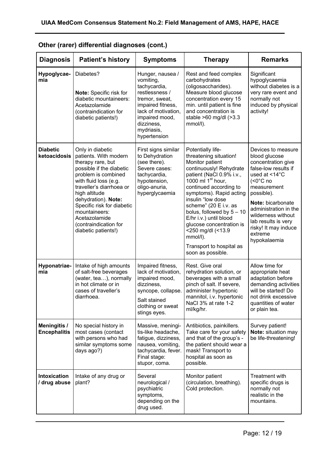| <b>Diagnosis</b>                           | <b>Patient's history</b>                                                                                                                                                                                                                                                                                                       | <b>Symptoms</b>                                                                                                                                                                             | <b>Therapy</b>                                                                                                                                                                                                                                                                                                                                                                                                       | <b>Remarks</b>                                                                                                                                                                                                                                                                                    |
|--------------------------------------------|--------------------------------------------------------------------------------------------------------------------------------------------------------------------------------------------------------------------------------------------------------------------------------------------------------------------------------|---------------------------------------------------------------------------------------------------------------------------------------------------------------------------------------------|----------------------------------------------------------------------------------------------------------------------------------------------------------------------------------------------------------------------------------------------------------------------------------------------------------------------------------------------------------------------------------------------------------------------|---------------------------------------------------------------------------------------------------------------------------------------------------------------------------------------------------------------------------------------------------------------------------------------------------|
| Hypoglycae-<br>mia                         | Diabetes?<br><b>Note:</b> Specific risk for<br>diabetic mountaineers:<br>Acetazolamide<br>(contraindication for<br>diabetic patients!)                                                                                                                                                                                         | Hunger, nausea /<br>vomiting,<br>tachycardia,<br>restlessness /<br>tremor, sweat,<br>impaired fitness,<br>lack of motivation,<br>impaired mood,<br>dizziness,<br>mydriasis,<br>hypertension | Rest and feed complex<br>carbohydrates<br>(oligosaccharides).<br>Measure blood glucose<br>concentration every 15<br>min. until patient is fine<br>and concentration is<br>stable $>60$ mg/dl $(>3.3)$<br>mmol/l).                                                                                                                                                                                                    | Significant<br>hypoglycaemia<br>without diabetes is a<br>very rare event and<br>normally not<br>induced by physical<br>activity!                                                                                                                                                                  |
| <b>Diabetic</b><br>ketoacidosis            | Only in diabetic<br>patients. With modern<br>therapy rare, but<br>possible if the diabetic<br>problem is combined<br>with fluid loss (e.g.<br>traveller's diarrhoea or<br>high altitude<br>dehydration). Note:<br>Specific risk for diabetic<br>mountaineers:<br>Acetazolamide<br>(contraindication for<br>diabetic patients!) | First signs similar<br>to Dehydration<br>(see there).<br>Severe cases:<br>tachycardia,<br>hypotension,<br>oligo-anuria,<br>hyperglycaemia                                                   | Potentially life-<br>threatening situation!<br>Monitor patient<br>continuously! Rehydrate<br>patient (NaCl 0.9% i.v.,<br>1000 ml $1st$ hour,<br>continued according to<br>symptoms). Rapid acting<br>insulin "low dose<br>scheme" (20 E i.v. as<br>bolus, followed by $5-10$<br>E/hr i.v.) until blood<br>glucose concentration is<br><250 mg/dl (<13.9<br>mmol/l).<br>Transport to hospital as<br>soon as possible. | Devices to measure<br>blood glucose<br>concentration give<br>false-low results if<br>used at <14°C<br>$(0^{\circ}C no$<br>measurement<br>possible).<br>Note: bicarbonate<br>administration in the<br>wilderness without<br>lab results is very<br>risky! It may induce<br>extreme<br>hypokalaemia |
| Hyponatriae-<br>mia                        | Intake of high amounts<br>of salt-free beverages<br>(water, tea), normally<br>in hot climate or in<br>cases of traveller's<br>diarrhoea.                                                                                                                                                                                       | Impaired fitness,<br>lack of motivation,<br>impaired mood,<br>dizziness,<br>syncope, collapse.<br>Salt stained<br>clothing or sweat<br>stings eyes.                                         | Rest. Give oral<br>rehydration solution, or<br>beverages with a small<br>pinch of salt. If severe,<br>administer hypertonic<br>mannitol, i.v. hypertonic<br>NaCl 3% at rate 1-2<br>ml/kg/hr.                                                                                                                                                                                                                         | Allow time for<br>appropriate heat<br>adaptation before<br>demanding activities<br>will be started! Do<br>not drink excessive<br>quantities of water<br>or plain tea.                                                                                                                             |
| <b>Meningitis /</b><br><b>Encephalitis</b> | No special history in<br>most cases (contact<br>with persons who had<br>similar symptoms some<br>days ago?)                                                                                                                                                                                                                    | Massive, meningi-<br>tis-like headache.<br>fatigue, dizziness,<br>nausea, vomiting,<br>tachycardia, fever.<br>Final stage:<br>stupor, coma.                                                 | Antibiotics, painkillers.<br>Take care for your safety<br>and that of the group's -<br>the patient should wear a<br>mask! Transport to<br>hospital as soon as<br>possible.                                                                                                                                                                                                                                           | Survey patient!<br>Note: situation may<br>be life-threatening!                                                                                                                                                                                                                                    |
| Intoxication<br>/ drug abuse               | Intake of any drug or<br>plant?                                                                                                                                                                                                                                                                                                | Several<br>neurological /<br>psychiatric<br>symptoms,<br>depending on the<br>drug used.                                                                                                     | Monitor patient<br>(circulation, breathing).<br>Cold protection.                                                                                                                                                                                                                                                                                                                                                     | Treatment with<br>specific drugs is<br>normally not<br>realistic in the<br>mountains.                                                                                                                                                                                                             |

## **Other (rarer) differential diagnoses (cont.)**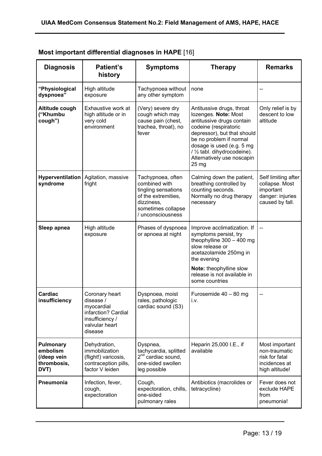| <b>Diagnosis</b>                                                   | <b>Patient's</b><br>history                                                                                      | <b>Symptoms</b>                                                                                                                           | <b>Therapy</b>                                                                                                                                                                                                                                                        | <b>Remarks</b>                                                                            |
|--------------------------------------------------------------------|------------------------------------------------------------------------------------------------------------------|-------------------------------------------------------------------------------------------------------------------------------------------|-----------------------------------------------------------------------------------------------------------------------------------------------------------------------------------------------------------------------------------------------------------------------|-------------------------------------------------------------------------------------------|
| "Physiological<br>dyspnoea"                                        | High altitude<br>exposure                                                                                        | Tachypnoea without<br>any other symptom                                                                                                   | none                                                                                                                                                                                                                                                                  |                                                                                           |
| Altitude cough<br>("Khumbu<br>cough")                              | Exhaustive work at<br>high altitude or in<br>very cold<br>environment                                            | (Very) severe dry<br>cough which may<br>cause pain (chest,<br>trachea, throat), no<br>fever                                               | Antitussive drugs, throat<br>lozenges. Note: Most<br>antitussive drugs contain<br>codeine (respiratoric<br>depressor), but that should<br>be no problem if normal<br>dosage is used (e.g. 5 mg<br>/ 1/2 tabl. dihydrocodeine).<br>Alternatively use noscapin<br>25 mg | Only relief is by<br>descent to low<br>altitude                                           |
| Hyperventilation<br>syndrome                                       | Agitation, massive<br>fright                                                                                     | Tachypnoea, often<br>combined with<br>tingling sensations<br>of the extremities,<br>dizziness,<br>sometimes collapse<br>/ unconsciousness | Calming down the patient,<br>breathing controlled by<br>counting seconds.<br>Normally no drug therapy<br>necessary                                                                                                                                                    | Self limiting after<br>collapse. Most<br>important<br>danger: injuries<br>caused by fall. |
| Sleep apnea                                                        | High altitude<br>exposure                                                                                        | Phases of dyspnoea<br>or apnoea at night                                                                                                  | Improve acclimatization. If<br>symptoms persist, try<br>theophylline $300 - 400$ mg<br>slow release or<br>acetazolamide 250mg in<br>the evening<br>Note: theophylline slow<br>release is not available in<br>some countries                                           |                                                                                           |
| <b>Cardiac</b><br>insufficiency                                    | Coronary heart<br>disease /<br>myocardial<br>infarction? Cardial<br>insufficiency /<br>valvular heart<br>disease | Dyspnoea, moist<br>rales, pathologic<br>cardiac sound (S3)                                                                                | Furosemide 40 - 80 mg<br>i.v.                                                                                                                                                                                                                                         |                                                                                           |
| <b>Pulmonary</b><br>embolism<br>(/deep vein<br>thrombosis,<br>DVT) | Dehydration,<br>immobilization<br>(flight!) varicosis,<br>contraception pills,<br>factor V leiden                | Dyspnea,<br>tachycardia, splitted<br>2 <sup>nd</sup> cardiac sound,<br>one-sided swollen<br>leg possible                                  | Heparin 25,000 I.E., if<br>available                                                                                                                                                                                                                                  | Most important<br>non-traumatic<br>risk for fatal<br>incidences at<br>high altitude!      |
| Pneumonia                                                          | Infection, fever,<br>cough,<br>expectoration                                                                     | Cough,<br>expectoration, chills,<br>one-sided<br>pulmonary rales                                                                          | Antibiotics (macrolides or<br>tetracycline)                                                                                                                                                                                                                           | Fever does not<br>exclude HAPE<br>from<br>pneumonia!                                      |

### **Most important differential diagnoses in HAPE** [16]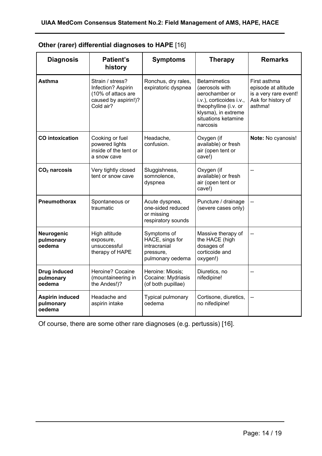| <b>Diagnosis</b>                              | Patient's<br>history                                                                              | <b>Symptoms</b>                                                                 | <b>Therapy</b>                                                                                                                                                         | <b>Remarks</b>                                                                                |
|-----------------------------------------------|---------------------------------------------------------------------------------------------------|---------------------------------------------------------------------------------|------------------------------------------------------------------------------------------------------------------------------------------------------------------------|-----------------------------------------------------------------------------------------------|
| <b>Asthma</b>                                 | Strain / stress?<br>Infection? Aspirin<br>(10% of attacs are<br>caused by aspirin!)?<br>Cold air? | Ronchus, dry rales,<br>expiratoric dyspnea                                      | <b>Betamimetics</b><br>(aerosols with<br>aerochamber or<br>i.v.), corticoides i.v.,<br>theophylline (i.v. or<br>klysma), in extreme<br>situations ketamine<br>narcosis | First asthma<br>episode at altitude<br>is a very rare event!<br>Ask for history of<br>asthma! |
| <b>CO</b> intoxication                        | Cooking or fuel<br>powered lights<br>inside of the tent or<br>a snow cave                         | Headache,<br>confusion.                                                         | Oxygen (if<br>available) or fresh<br>air (open tent or<br>cave!)                                                                                                       | Note: No cyanosis!                                                                            |
| $CO2$ narcosis                                | Very tightly closed<br>tent or snow cave                                                          | Sluggishness,<br>somnolence,<br>dyspnea                                         | Oxygen (if<br>available) or fresh<br>air (open tent or<br>cave!)                                                                                                       |                                                                                               |
| <b>Pneumothorax</b>                           | Spontaneous or<br>traumatic                                                                       | Acute dyspnea,<br>one-sided reduced<br>or missing<br>respiratory sounds         | Puncture / drainage<br>(severe cases only)                                                                                                                             |                                                                                               |
| Neurogenic<br>pulmonary<br>oedema             | High altitude<br>exposure,<br>unsuccessful<br>therapy of HAPE                                     | Symptoms of<br>HACE, sings for<br>intracranial<br>pressure,<br>pulmonary oedema | Massive therapy of<br>the HACE (high<br>dosages of<br>corticoide and<br>oxygen!)                                                                                       |                                                                                               |
| <b>Drug induced</b><br>pulmonary<br>oedema    | Heroine? Cocaine<br>(mountaineering in<br>the Andes!)?                                            | Heroine: Miosis;<br>Cocaine: Mydriasis<br>(of both pupillae)                    | Diuretics, no<br>nifedipine!                                                                                                                                           |                                                                                               |
| <b>Aspirin induced</b><br>pulmonary<br>oedema | Headache and<br>aspirin intake                                                                    | Typical pulmonary<br>oedema                                                     | Cortisone, diuretics,<br>no nifedipine!                                                                                                                                |                                                                                               |

| Other (rarer) differential diagnoses to HAPE [16] |  |  |  |  |  |  |
|---------------------------------------------------|--|--|--|--|--|--|
|---------------------------------------------------|--|--|--|--|--|--|

Of course, there are some other rare diagnoses (e.g. pertussis) [16].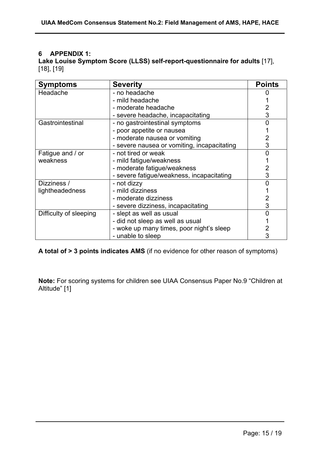#### **6 APPENDIX 1:**

**Lake Louise Symptom Score (LLSS) self-report-questionnaire for adults** [17], [18], [19]

| <b>Symptoms</b>        | <b>Severity</b>                             | <b>Points</b> |
|------------------------|---------------------------------------------|---------------|
| Headache               | - no headache                               |               |
|                        | - mild headache                             |               |
|                        | - moderate headache                         |               |
|                        | - severe headache, incapacitating           | 3             |
| Gastrointestinal       | - no gastrointestinal symptoms              |               |
|                        | - poor appetite or nausea                   |               |
|                        | - moderate nausea or vomiting               |               |
|                        | - severe nausea or vomiting, incapacitating | 3             |
| Fatigue and / or       | - not tired or weak                         |               |
| weakness               | - mild fatigue/weakness                     |               |
|                        | - moderate fatigue/weakness                 |               |
|                        | - severe fatigue/weakness, incapacitating   | 3             |
| Dizziness /            | - not dizzy                                 |               |
| lightheadedness        | - mild dizziness                            |               |
|                        | - moderate dizziness                        |               |
|                        | - severe dizziness, incapacitating          | 3             |
| Difficulty of sleeping | - slept as well as usual                    |               |
|                        | - did not sleep as well as usual            |               |
|                        | - woke up many times, poor night's sleep    |               |
|                        | - unable to sleep                           |               |

**A total of > 3 points indicates AMS** (if no evidence for other reason of symptoms)

**Note:** For scoring systems for children see UIAA Consensus Paper No.9 "Children at Altitude" [1]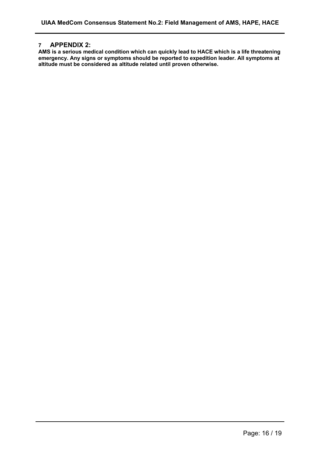#### **7 APPENDIX 2:**

**AMS is a serious medical condition which can quickly lead to HACE which is a life threatening emergency. Any signs or symptoms should be reported to expedition leader. All symptoms at altitude must be considered as altitude related until proven otherwise.**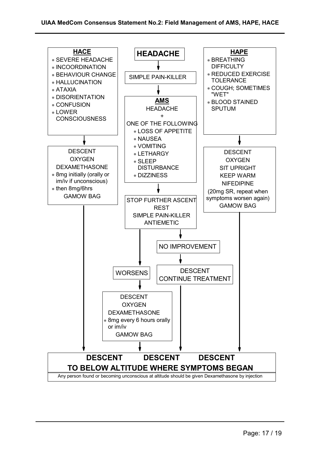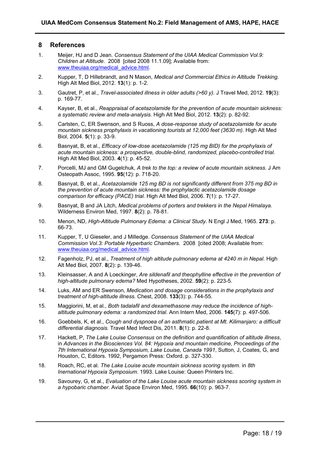#### **8 References**

- 1. Meijer, HJ and D Jean. *Consensus Statement of the UIAA Medical Commission Vol.9: Children at Altitude*. 2008 [cited 2008 11.1.09]; Available from: www.theuiaa.org/medical\_advice.html.
- 2. Kupper, T, D Hillebrandt, and N Mason, *Medical and Commercial Ethics in Altitude Trekking.* High Alt Med Biol, 2012. **13**(1): p. 1-2.
- 3. Gautret, P, et al., *Travel-associated illness in older adults (>60 y).* J Travel Med, 2012. **19**(3): p. 169-77.
- 4. Kayser, B, et al., *Reappraisal of acetazolamide for the prevention of acute mountain sickness: a systematic review and meta-analysis.* High Alt Med Biol, 2012. **13**(2): p. 82-92.
- 5. Carlsten, C, ER Swenson, and S Ruoss, *A dose-response study of acetazolamide for acute mountain sickness prophylaxis in vacationing tourists at 12,000 feet (3630 m).* High Alt Med Biol, 2004. **5**(1): p. 33-9.
- 6. Basnyat, B, et al., *Efficacy of low-dose acetazolamide (125 mg BID) for the prophylaxis of acute mountain sickness: a prospective, double-blind, randomized, placebo-controlled trial.* High Alt Med Biol, 2003. **4**(1): p. 45-52.
- 7. Porcelli, MJ and GM Gugelchuk, *A trek to the top: a review of acute mountain sickness.* J Am Osteopath Assoc, 1995. **95**(12): p. 718-20.
- 8. Basnyat, B, et al., *Acetazolamide 125 mg BD is not significantly different from 375 mg BD in the prevention of acute mountain sickness: the prophylactic acetazolamide dosage comparison for efficacy (PACE) trial.* High Alt Med Biol, 2006. **7**(1): p. 17-27.
- 9. Basnyat, B and JA Litch, *Medical problems of porters and trekkers in the Nepal Himalaya.* Wilderness Environ Med, 1997. **8**(2): p. 78-81.
- 10. Menon, ND, *High-Altitude Pulmonary Edema: a Clinical Study.* N Engl J Med, 1965. **273**: p. 66-73.
- 11. Kupper, T, U Gieseler, and J Milledge. *Consensus Statement of the UIAA Medical Commission Vol.3: Portable Hyperbaric Chambers*. 2008 [cited 2008; Available from: www.theuiaa.org/medical\_advice.html.
- 12. Fagenholz, PJ, et al., *Treatment of high altitude pulmonary edema at 4240 m in Nepal.* High Alt Med Biol, 2007. **8**(2): p. 139-46.
- 13. Kleinsasser, A and A Loeckinger, *Are sildenafil and theophylline effective in the prevention of high-altitude pulmonary edema?* Med Hypotheses, 2002. **59**(2): p. 223-5.
- 14. Luks, AM and ER Swenson, *Medication and dosage considerations in the prophylaxis and treatment of high-altitude illness.* Chest, 2008. **133**(3): p. 744-55.
- 15. Maggiorini, M, et al., *Both tadalafil and dexamethasone may reduce the incidence of highaltitude pulmonary edema: a randomized trial.* Ann Intern Med, 2006. **145**(7): p. 497-506.
- 16. Goebbels, K, et al., *Cough and dyspnoea of an asthmatic patient at Mt. Kilimanjaro: a difficult differential diagnosis.* Travel Med Infect Dis, 2011. **8**(1): p. 22-8.
- 17. Hackett, P, *The Lake Louise Consensus on the definition and quantification of altitude illness*, in *Advances in the Biosciences Vol. 84: Hypoxia and mountain medicine, Proceedings of the 7th International Hypoxia Symposium, Lake Louise, Canada 1991*, Sutton, J, Coates, G, and Houston, C, Editors. 1992, Pergamon Press: Oxford. p. 327-330.
- 18. Roach, RC, et al. *The Lake Louise acute mountain sickness scoring system*. in *8th Inernational Hypoxia Symposium*. 1993. Lake Louise: Queen Printers Inc.
- 19. Savourey, G, et al., *Evaluation of the Lake Louise acute mountain sickness scoring system in a hypobaric chamber.* Aviat Space Environ Med, 1995. **66**(10): p. 963-7.